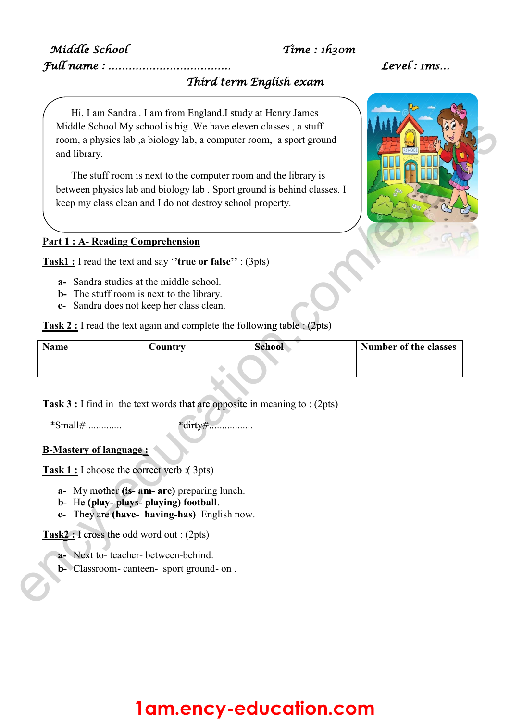### Middle School Time : 1h30m

# Full name : ……………………………… Level : 1ms…

## Third term English exam

Hi, I am Sandra . I am from England.I study at Henry James Middle School.My school is big .We have eleven classes , a stuff room, a physics lab ,a biology lab, a computer room, a sport ground and library.

The stuff room is next to the computer room and the library is between physics lab and biology lab . Sport ground is behind classes. I

### **Part 1 : A- Reading Comprehension**

**Task1 :** I read the text and say '**'true or false''** : (3pts)

- **a-** Sandra studies at the middle school.
- **b-** The stuff room is next to the library.
- **c-** Sandra does not keep her class clean.

**Task 2 :** I read the text again and complete the following table : (2pts)

| Name | Country                                                                     | <b>School</b> | <b>Number of the classes</b> |  |
|------|-----------------------------------------------------------------------------|---------------|------------------------------|--|
|      |                                                                             |               |                              |  |
|      | Task $3:$ I find in the text words that are opposite in meaning to : (2pts) |               |                              |  |

\*Small#.............. \*dirty#................. ........

### **B-Mastery of language :**

**Task 1 :** I choose the correct verb :( 3pts) **age** :<br> **decorrect** v<br> **Cis. am.** ar e the correct verb :(

- **a-** My mother **(is- am- are)** preparing lunch. **(is- am- are**
- **b-** He **(play- plays- playing) football**. **(play- plays- play**
- **c-** They are **(have- having-has)** English now. **(have- h**

Task2 : I cross the odd word out : (2pts)<br> **a**- Next to- teacher- between-behind

- a- Next to-teacher-between-behind.
- **b-** Classroom- canteen- sport ground- on . **b -** Class



# **1am.ency-education.com**